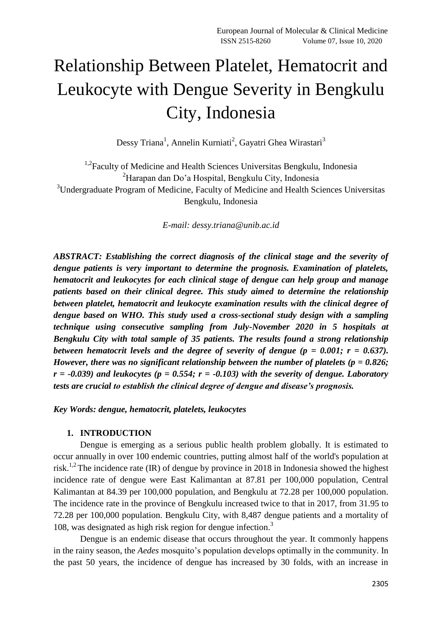# Relationship Between Platelet, Hematocrit and Leukocyte with Dengue Severity in Bengkulu City, Indonesia

Dessy Triana<sup>1</sup>, Annelin Kurniati<sup>2</sup>, Gayatri Ghea Wirastari<sup>3</sup>

<sup>1,2</sup> Faculty of Medicine and Health Sciences Universitas Bengkulu, Indonesia <sup>2</sup>Harapan dan Do'a Hospital, Bengkulu City, Indonesia <sup>3</sup>Undergraduate Program of Medicine, Faculty of Medicine and Health Sciences Universitas Bengkulu, Indonesia

*E-mail: [dessy.triana@unib.ac.id](mailto:dessy.triana@unib.ac.id)*

*ABSTRACT: Establishing the correct diagnosis of the clinical stage and the severity of dengue patients is very important to determine the prognosis. Examination of platelets, hematocrit and leukocytes for each clinical stage of dengue can help group and manage patients based on their clinical degree. This study aimed to determine the relationship between platelet, hematocrit and leukocyte examination results with the clinical degree of dengue based on WHO. This study used a cross-sectional study design with a sampling technique using consecutive sampling from July-November 2020 in 5 hospitals at Bengkulu City with total sample of 35 patients. The results found a strong relationship between hematocrit levels and the degree of severity of dengue*  $(p = 0.001; r = 0.637)$ *. However, there was no significant relationship between the number of platelets (p = 0.826;*   $r = -0.039$ ) and leukocytes ( $p = 0.554$ ;  $r = -0.103$ ) with the severity of dengue. Laboratory *tests are crucial to establish the clinical degree of dengue and disease's prognosis.*

*Key Words: dengue, hematocrit, platelets, leukocytes*

## **1. INTRODUCTION**

Dengue is emerging as a serious public health problem globally. It is estimated to occur annually in over 100 endemic countries, putting almost half of the world's population at risk.<sup>1,2</sup> The incidence rate (IR) of dengue by province in 2018 in Indonesia showed the highest incidence rate of dengue were East Kalimantan at 87.81 per 100,000 population, Central Kalimantan at 84.39 per 100,000 population, and Bengkulu at 72.28 per 100,000 population. The incidence rate in the province of Bengkulu increased twice to that in 2017, from 31.95 to 72.28 per 100,000 population. Bengkulu City, with 8,487 dengue patients and a mortality of 108, was designated as high risk region for dengue infection. 3

Dengue is an endemic disease that occurs throughout the year. It commonly happens in the rainy season, the *Aedes* mosquito's population develops optimally in the community. In the past 50 years, the incidence of dengue has increased by 30 folds, with an increase in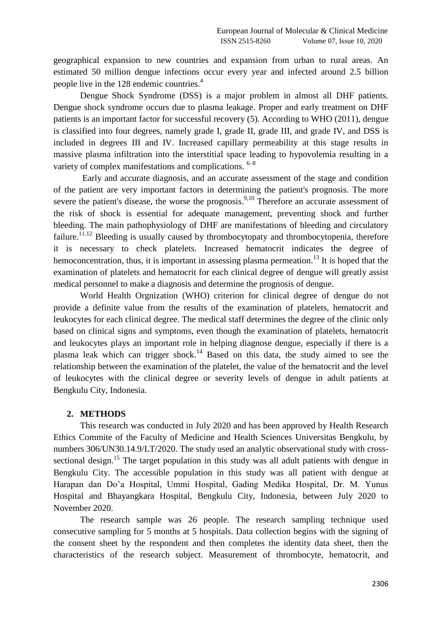geographical expansion to new countries and expansion from urban to rural areas. An estimated 50 million dengue infections occur every year and infected around 2.5 billion people live in the 128 endemic countries.<sup>4</sup>

Dengue Shock Syndrome (DSS) is a major problem in almost all DHF patients. Dengue shock syndrome occurs due to plasma leakage. Proper and early treatment on DHF patients is an important factor for successful recovery (5). According to WHO (2011), dengue is classified into four degrees, namely grade I, grade II, grade III, and grade IV, and DSS is included in degrees III and IV. Increased capillary permeability at this stage results in massive plasma infiltration into the interstitial space leading to hypovolemia resulting in a variety of complex manifestations and complications.  $6-8$ 

Early and accurate diagnosis, and an accurate assessment of the stage and condition of the patient are very important factors in determining the patient's prognosis. The more severe the patient's disease, the worse the prognosis.<sup>9,10</sup> Therefore an accurate assessment of the risk of shock is essential for adequate management, preventing shock and further bleeding. The main pathophysiology of DHF are manifestations of bleeding and circulatory failure.<sup>11,12</sup> Bleeding is usually caused by thrombocytopaty and thrombocytopenia, therefore it is necessary to check platelets. Increased hematocrit indicates the degree of hemoconcentration, thus, it is important in assessing plasma permeation.<sup>13</sup> It is hoped that the examination of platelets and hematocrit for each clinical degree of dengue will greatly assist medical personnel to make a diagnosis and determine the prognosis of dengue.

World Health Orgnization (WHO) criterion for clinical degree of dengue do not provide a definite value from the results of the examination of platelets, hematocrit and leukocytes for each clinical degree. The medical staff determines the degree of the clinic only based on clinical signs and symptoms, even though the examination of platelets, hematocrit and leukocytes plays an important role in helping diagnose dengue, especially if there is a plasma leak which can trigger shock.<sup>14</sup> Based on this data, the study aimed to see the relationship between the examination of the platelet, the value of the hematocrit and the level of leukocytes with the clinical degree or severity levels of dengue in adult patients at Bengkulu City, Indonesia.

### **2. METHODS**

This research was conducted in July 2020 and has been approved by Health Research Ethics Commite of the Faculty of Medicine and Health Sciences Universitas Bengkulu, by numbers 306/UN30.14.9/LT/2020. The study used an analytic observational study with crosssectional design.<sup>15</sup> The target population in this study was all adult patients with dengue in Bengkulu City. The accessible population in this study was all patient with dengue at Harapan dan Do'a Hospital, Ummi Hospital, Gading Medika Hospital, Dr. M. Yunus Hospital and Bhayangkara Hospital, Bengkulu City, Indonesia, between July 2020 to November 2020.

The research sample was 26 people. The research sampling technique used consecutive sampling for 5 months at 5 hospitals. Data collection begins with the signing of the consent sheet by the respondent and then completes the identity data sheet, then the characteristics of the research subject. Measurement of thrombocyte, hematocrit, and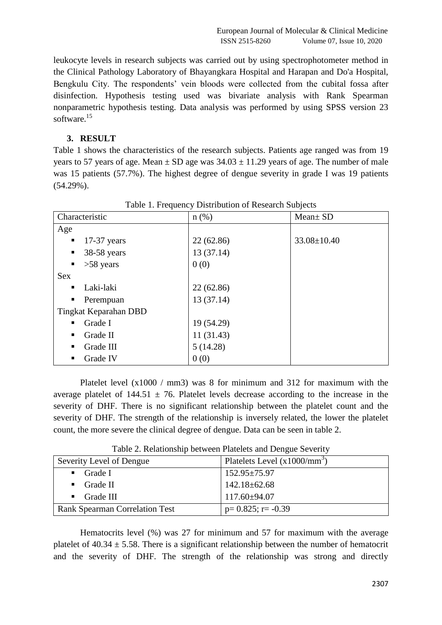European Journal of Molecular & Clinical Medicine ISSN 2515-8260 Volume 07, Issue 10, 2020

leukocyte levels in research subjects was carried out by using spectrophotometer method in the Clinical Pathology Laboratory of Bhayangkara Hospital and Harapan and Do'a Hospital, Bengkulu City. The respondents' vein bloods were collected from the cubital fossa after disinfection. Hypothesis testing used was bivariate analysis with Rank Spearman nonparametric hypothesis testing. Data analysis was performed by using SPSS version 23 software. 15

### **3. RESULT**

Table 1 shows the characteristics of the research subjects. Patients age ranged was from 19 years to 57 years of age. Mean  $\pm$  SD age was 34.03  $\pm$  11.29 years of age. The number of male was 15 patients (57.7%). The highest degree of dengue severity in grade I was 19 patients (54.29%).

| Characteristic                | $n$ (%)    | Mean ± SD         |
|-------------------------------|------------|-------------------|
| Age                           |            |                   |
| $17-37$ years<br>п            | 22(62.86)  | $33.08 \pm 10.40$ |
| 38-58 years<br>$\blacksquare$ | 13(37.14)  |                   |
| $>58$ years<br>$\blacksquare$ | 0(0)       |                   |
| <b>Sex</b>                    |            |                   |
| Laki-laki<br>п                | 22(62.86)  |                   |
| Perempuan<br>п                | 13(37.14)  |                   |
| Tingkat Keparahan DBD         |            |                   |
| Grade I<br>п                  | 19 (54.29) |                   |
| Grade II<br>п                 | 11(31.43)  |                   |
| Grade III<br>٠                | 5(14.28)   |                   |
| Grade IV<br>п                 | 0(0)       |                   |

Table 1. Frequency Distribution of Research Subjects

Platelet level (x1000 / mm3) was 8 for minimum and 312 for maximum with the average platelet of  $144.51 \pm 76$ . Platelet levels decrease according to the increase in the severity of DHF. There is no significant relationship between the platelet count and the severity of DHF. The strength of the relationship is inversely related, the lower the platelet count, the more severe the clinical degree of dengue. Data can be seen in table 2.

| Severity Level of Dengue              | Platelets Level $(x1000/mm^3)$ |  |
|---------------------------------------|--------------------------------|--|
| Grade I                               | $152.95 \pm 75.97$             |  |
| Grade II<br>$\blacksquare$            | $142.18 \pm 62.68$             |  |
| Grade III                             | $117.60 \pm 94.07$             |  |
| <b>Rank Spearman Correlation Test</b> | $p=0.825$ ; r= -0.39           |  |

Table 2. Relationship between Platelets and Dengue Severity

Hematocrits level (%) was 27 for minimum and 57 for maximum with the average platelet of  $40.34 \pm 5.58$ . There is a significant relationship between the number of hematocrit and the severity of DHF. The strength of the relationship was strong and directly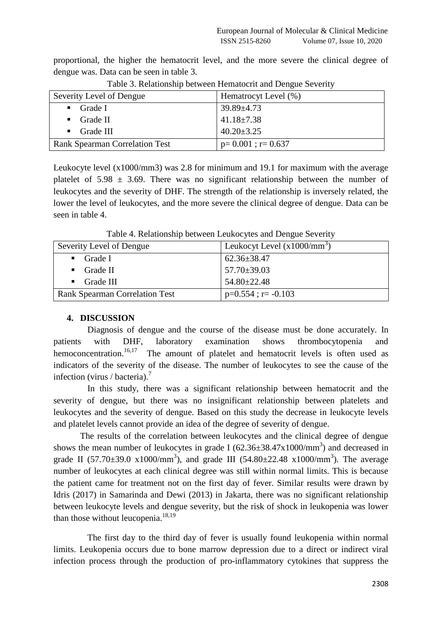proportional, the higher the hematocrit level, and the more severe the clinical degree of dengue was. Data can be seen in table 3.

| Severity Level of Dengue              | Hematrocyt Level (%)  |  |
|---------------------------------------|-----------------------|--|
| Grade I<br>$\mathbf{r}$               | $39.89 \pm 4.73$      |  |
| Grade II<br>$\blacksquare$            | $41.18 \pm 7.38$      |  |
| $\blacksquare$ Grade III              | $40.20 \pm 3.25$      |  |
| <b>Rank Spearman Correlation Test</b> | $p=0.001$ ; $r=0.637$ |  |

Table 3. Relationship between Hematocrit and Dengue Severity

Leukocyte level (x1000/mm3) was 2.8 for minimum and 19.1 for maximum with the average platelet of  $5.98 \pm 3.69$ . There was no significant relationship between the number of leukocytes and the severity of DHF. The strength of the relationship is inversely related, the lower the level of leukocytes, and the more severe the clinical degree of dengue. Data can be seen in table 4.

| Tuble is rectangularly because <b>Heathog</b> and Bengae Beverly |                               |  |
|------------------------------------------------------------------|-------------------------------|--|
| Severity Level of Dengue                                         | Leukocyt Level $(x1000/mm^3)$ |  |
| $\blacksquare$ Grade I                                           | $62.36 \pm 38.47$             |  |
| $\blacksquare$ Grade II                                          | $57.70 \pm 39.03$             |  |
| $\blacksquare$ Grade III                                         | $54.80 \pm 22.48$             |  |
| <b>Rank Spearman Correlation Test</b>                            | $p=0.554$ ; r= -0.103         |  |

Table 4. Relationship between Leukocytes and Dengue Severity

### **4. DISCUSSION**

Diagnosis of dengue and the course of the disease must be done accurately. In patients with DHF, laboratory examination shows thrombocytopenia and hemoconcentration.<sup>16,17</sup> The amount of platelet and hematocrit levels is often used as indicators of the severity of the disease. The number of leukocytes to see the cause of the infection (virus / bacteria). 7

In this study, there was a significant relationship between hematocrit and the severity of dengue, but there was no insignificant relationship between platelets and leukocytes and the severity of dengue. Based on this study the decrease in leukocyte levels and platelet levels cannot provide an idea of the degree of severity of dengue.

The results of the correlation between leukocytes and the clinical degree of dengue shows the mean number of leukocytes in grade I ( $62.36 \pm 38.47 \times 1000/\text{mm}^3$ ) and decreased in grade II (57.70 $\pm$ 39.0 x1000/mm<sup>3</sup>), and grade III (54.80 $\pm$ 22.48 x1000/mm<sup>3</sup>). The average number of leukocytes at each clinical degree was still within normal limits. This is because the patient came for treatment not on the first day of fever. Similar results were drawn by Idris (2017) in Samarinda and Dewi (2013) in Jakarta, there was no significant relationship between leukocyte levels and dengue severity, but the risk of shock in leukopenia was lower than those without leucopenia. $18,19$ 

The first day to the third day of fever is usually found leukopenia within normal limits. Leukopenia occurs due to bone marrow depression due to a direct or indirect viral infection process through the production of pro-inflammatory cytokines that suppress the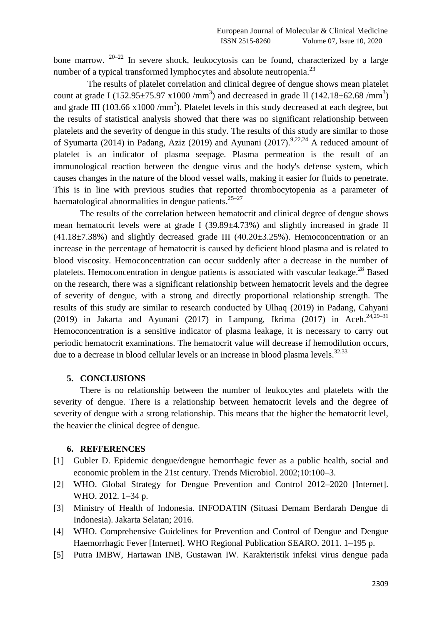bone marrow.  $20-22$  In severe shock, leukocytosis can be found, characterized by a large number of a typical transformed lymphocytes and absolute neutropenia.<sup>23</sup>

The results of platelet correlation and clinical degree of dengue shows mean platelet count at grade I (152.95 $\pm$ 75.97 x1000 /mm<sup>3</sup>) and decreased in grade II (142.18 $\pm$ 62.68 /mm<sup>3</sup>) and grade III (103.66  $x1000 / mm<sup>3</sup>$ ). Platelet levels in this study decreased at each degree, but the results of statistical analysis showed that there was no significant relationship between platelets and the severity of dengue in this study. The results of this study are similar to those of Syumarta (2014) in Padang, Aziz (2019) and Ayunani (2017).<sup>9,22,24</sup> A reduced amount of platelet is an indicator of plasma seepage. Plasma permeation is the result of an immunological reaction between the dengue virus and the body's defense system, which causes changes in the nature of the blood vessel walls, making it easier for fluids to penetrate. This is in line with previous studies that reported thrombocytopenia as a parameter of haematological abnormalities in dengue patients.<sup>25-27</sup>

The results of the correlation between hematocrit and clinical degree of dengue shows mean hematocrit levels were at grade I (39.89±4.73%) and slightly increased in grade II  $(41.18\pm7.38\%)$  and slightly decreased grade III  $(40.20\pm3.25\%)$ . Hemoconcentration or an increase in the percentage of hematocrit is caused by deficient blood plasma and is related to blood viscosity. Hemoconcentration can occur suddenly after a decrease in the number of platelets. Hemoconcentration in dengue patients is associated with vascular leakage.<sup>28</sup> Based on the research, there was a significant relationship between hematocrit levels and the degree of severity of dengue, with a strong and directly proportional relationship strength. The results of this study are similar to research conducted by Ulhaq (2019) in Padang, Cahyani (2019) in Jakarta and Ayunani (2017) in Lampung, Ikrima (2017) in Aceh.<sup>24,29-31</sup> Hemoconcentration is a sensitive indicator of plasma leakage, it is necessary to carry out periodic hematocrit examinations. The hematocrit value will decrease if hemodilution occurs, due to a decrease in blood cellular levels or an increase in blood plasma levels.<sup>32,33</sup>

#### **5. CONCLUSIONS**

There is no relationship between the number of leukocytes and platelets with the severity of dengue. There is a relationship between hematocrit levels and the degree of severity of dengue with a strong relationship. This means that the higher the hematocrit level, the heavier the clinical degree of dengue.

### **6. REFFERENCES**

- [1] Gubler D. Epidemic dengue/dengue hemorrhagic fever as a public health, social and economic problem in the 21st century. Trends Microbiol. 2002;10:100–3.
- [2] WHO. Global Strategy for Dengue Prevention and Control 2012–2020 [Internet]. WHO. 2012. 1–34 p.
- [3] Ministry of Health of Indonesia. INFODATIN (Situasi Demam Berdarah Dengue di Indonesia). Jakarta Selatan; 2016.
- [4] WHO. Comprehensive Guidelines for Prevention and Control of Dengue and Dengue Haemorrhagic Fever [Internet]. WHO Regional Publication SEARO. 2011. 1–195 p.
- [5] Putra IMBW, Hartawan INB, Gustawan IW. Karakteristik infeksi virus dengue pada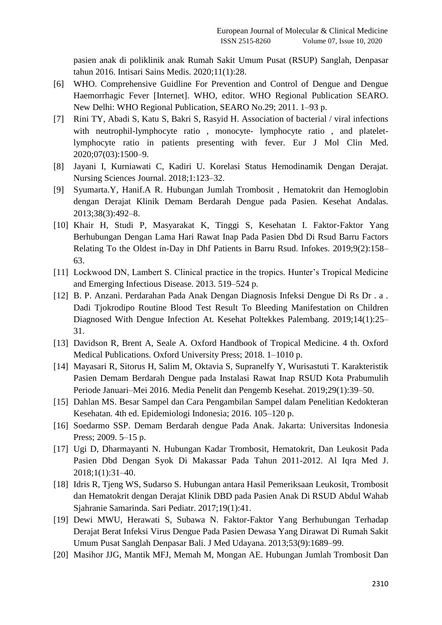pasien anak di poliklinik anak Rumah Sakit Umum Pusat (RSUP) Sanglah, Denpasar tahun 2016. Intisari Sains Medis. 2020;11(1):28.

- [6] WHO. Comprehensive Guidline For Prevention and Control of Dengue and Dengue Haemorrhagic Fever [Internet]. WHO, editor. WHO Regional Publication SEARO. New Delhi: WHO Regional Publication, SEARO No.29; 2011. 1–93 p.
- [7] Rini TY, Abadi S, Katu S, Bakri S, Rasyid H. Association of bacterial / viral infections with neutrophil-lymphocyte ratio, monocyte- lymphocyte ratio, and plateletlymphocyte ratio in patients presenting with fever. Eur J Mol Clin Med. 2020;07(03):1500–9.
- [8] Jayani I, Kurniawati C, Kadiri U. Korelasi Status Hemodinamik Dengan Derajat. Nursing Sciences Journal. 2018;1:123–32.
- [9] Syumarta.Y, Hanif.A R. Hubungan Jumlah Trombosit , Hematokrit dan Hemoglobin dengan Derajat Klinik Demam Berdarah Dengue pada Pasien. Kesehat Andalas. 2013;38(3):492–8.
- [10] Khair H, Studi P, Masyarakat K, Tinggi S, Kesehatan I. Faktor-Faktor Yang Berhubungan Dengan Lama Hari Rawat Inap Pada Pasien Dbd Di Rsud Barru Factors Relating To the Oldest in-Day in Dhf Patients in Barru Rsud. Infokes. 2019;9(2):158– 63.
- [11] Lockwood DN, Lambert S. Clinical practice in the tropics. Hunter's Tropical Medicine and Emerging Infectious Disease. 2013. 519–524 p.
- [12] B. P. Anzani. Perdarahan Pada Anak Dengan Diagnosis Infeksi Dengue Di Rs Dr . a . Dadi Tjokrodipo Routine Blood Test Result To Bleeding Manifestation on Children Diagnosed With Dengue Infection At. Kesehat Poltekkes Palembang. 2019;14(1):25– 31.
- [13] Davidson R, Brent A, Seale A. Oxford Handbook of Tropical Medicine. 4 th. Oxford Medical Publications. Oxford University Press; 2018. 1–1010 p.
- [14] Mayasari R, Sitorus H, Salim M, Oktavia S, Supranelfy Y, Wurisastuti T. Karakteristik Pasien Demam Berdarah Dengue pada Instalasi Rawat Inap RSUD Kota Prabumulih Periode Januari–Mei 2016. Media Penelit dan Pengemb Kesehat. 2019;29(1):39–50.
- [15] Dahlan MS. Besar Sampel dan Cara Pengambilan Sampel dalam Penelitian Kedokteran Kesehatan. 4th ed. Epidemiologi Indonesia; 2016. 105–120 p.
- [16] Soedarmo SSP. Demam Berdarah dengue Pada Anak. Jakarta: Universitas Indonesia Press; 2009. 5–15 p.
- [17] Ugi D, Dharmayanti N. Hubungan Kadar Trombosit, Hematokrit, Dan Leukosit Pada Pasien Dbd Dengan Syok Di Makassar Pada Tahun 2011-2012. Al Iqra Med J. 2018;1(1):31–40.
- [18] Idris R, Tjeng WS, Sudarso S. Hubungan antara Hasil Pemeriksaan Leukosit, Trombosit dan Hematokrit dengan Derajat Klinik DBD pada Pasien Anak Di RSUD Abdul Wahab Sjahranie Samarinda. Sari Pediatr. 2017;19(1):41.
- [19] Dewi MWU, Herawati S, Subawa N. Faktor-Faktor Yang Berhubungan Terhadap Derajat Berat Infeksi Virus Dengue Pada Pasien Dewasa Yang Dirawat Di Rumah Sakit Umum Pusat Sanglah Denpasar Bali. J Med Udayana. 2013;53(9):1689–99.
- [20] Masihor JJG, Mantik MFJ, Memah M, Mongan AE. Hubungan Jumlah Trombosit Dan